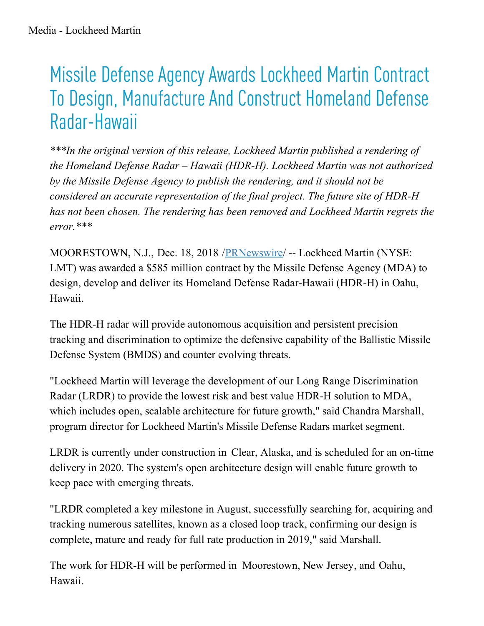## Missile Defense Agency Awards Lockheed Martin Contract To Design, Manufacture And Construct Homeland Defense Radar-Hawaii

*\*\*\*In the original version of this release, Lockheed Martin published a rendering of the Homeland Defense Radar – Hawaii (HDR-H). Lockheed Martin was not authorized by the Missile Defense Agency to publish the rendering, and it should not be considered an accurate representation of the final project. The future site of HDR-H has not been chosen. The rendering has been removed and Lockheed Martin regrets the error.\*\*\**

MOORESTOWN, N.J., Dec. 18, 2018 /[PRNewswire](http://www.prnewswire.com/)/ -- Lockheed Martin (NYSE: LMT) was awarded a \$585 million contract by the Missile Defense Agency (MDA) to design, develop and deliver its Homeland Defense Radar-Hawaii (HDR-H) in Oahu, Hawaii.

The HDR-H radar will provide autonomous acquisition and persistent precision tracking and discrimination to optimize the defensive capability of the Ballistic Missile Defense System (BMDS) and counter evolving threats.

"Lockheed Martin will leverage the development of our Long Range Discrimination Radar (LRDR) to provide the lowest risk and best value HDR-H solution to MDA, which includes open, scalable architecture for future growth," said Chandra Marshall, program director for Lockheed Martin's Missile Defense Radars market segment.

LRDR is currently under construction in Clear, Alaska, and is scheduled for an on-time delivery in 2020. The system's open architecture design will enable future growth to keep pace with emerging threats.

"LRDR completed a key milestone in August, successfully searching for, acquiring and tracking numerous satellites, known as a closed loop track, confirming our design is complete, mature and ready for full rate production in 2019," said Marshall.

The work for HDR-H will be performed in Moorestown, New Jersey, and Oahu, Hawaii.